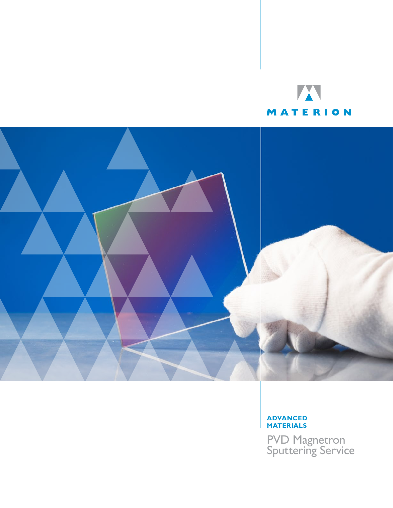



## **ADVANCED MATERIALS**

PVD Magnetron Sputtering Service